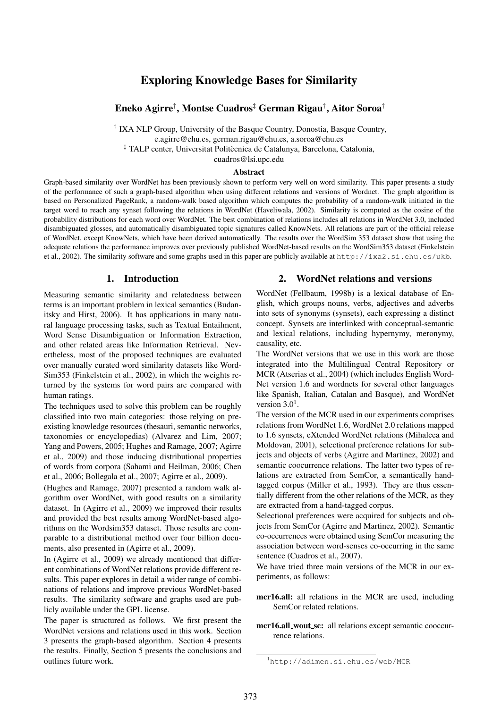# Exploring Knowledge Bases for Similarity

# Eneko Agirre† , Montse Cuadros‡ German Rigau† , Aitor Soroa†

† IXA NLP Group, University of the Basque Country, Donostia, Basque Country,

e.agirre@ehu.es, german.rigau@ehu.es, a.soroa@ehu.es

<sup>‡</sup> TALP center, Universitat Politècnica de Catalunya, Barcelona, Catalonia, cuadros@lsi.upc.edu

## Abstract

Graph-based similarity over WordNet has been previously shown to perform very well on word similarity. This paper presents a study of the performance of such a graph-based algorithm when using different relations and versions of Wordnet. The graph algorithm is based on Personalized PageRank, a random-walk based algorithm which computes the probability of a random-walk initiated in the target word to reach any synset following the relations in WordNet (Haveliwala, 2002). Similarity is computed as the cosine of the probability distributions for each word over WordNet. The best combination of relations includes all relations in WordNet 3.0, included disambiguated glosses, and automatically disambiguated topic signatures called KnowNets. All relations are part of the official release of WordNet, except KnowNets, which have been derived automatically. The results over the WordSim 353 dataset show that using the adequate relations the performance improves over previously published WordNet-based results on the WordSim353 dataset (Finkelstein et al., 2002). The similarity software and some graphs used in this paper are publicly available at  $http://ixa2.si.ehu.es/ukb.$ 

### 1. Introduction

Measuring semantic similarity and relatedness between terms is an important problem in lexical semantics (Budanitsky and Hirst, 2006). It has applications in many natural language processing tasks, such as Textual Entailment, Word Sense Disambiguation or Information Extraction, and other related areas like Information Retrieval. Nevertheless, most of the proposed techniques are evaluated over manually curated word similarity datasets like Word-Sim353 (Finkelstein et al., 2002), in which the weights returned by the systems for word pairs are compared with human ratings.

The techniques used to solve this problem can be roughly classified into two main categories: those relying on preexisting knowledge resources (thesauri, semantic networks, taxonomies or encyclopedias) (Alvarez and Lim, 2007; Yang and Powers, 2005; Hughes and Ramage, 2007; Agirre et al., 2009) and those inducing distributional properties of words from corpora (Sahami and Heilman, 2006; Chen et al., 2006; Bollegala et al., 2007; Agirre et al., 2009).

(Hughes and Ramage, 2007) presented a random walk algorithm over WordNet, with good results on a similarity dataset. In (Agirre et al., 2009) we improved their results and provided the best results among WordNet-based algorithms on the Wordsim353 dataset. Those results are comparable to a distributional method over four billion documents, also presented in (Agirre et al., 2009).

In (Agirre et al., 2009) we already mentioned that different combinations of WordNet relations provide different results. This paper explores in detail a wider range of combinations of relations and improve previous WordNet-based results. The similarity software and graphs used are publicly available under the GPL license.

The paper is structured as follows. We first present the WordNet versions and relations used in this work. Section 3 presents the graph-based algorithm. Section 4 presents the results. Finally, Section 5 presents the conclusions and outlines future work.

#### 2. WordNet relations and versions

WordNet (Fellbaum, 1998b) is a lexical database of English, which groups nouns, verbs, adjectives and adverbs into sets of synonyms (synsets), each expressing a distinct concept. Synsets are interlinked with conceptual-semantic and lexical relations, including hypernymy, meronymy, causality, etc.

The WordNet versions that we use in this work are those integrated into the Multilingual Central Repository or MCR (Atserias et al., 2004) (which includes English Word-Net version 1.6 and wordnets for several other languages like Spanish, Italian, Catalan and Basque), and WordNet version  $3.0<sup>1</sup>$ .

The version of the MCR used in our experiments comprises relations from WordNet 1.6, WordNet 2.0 relations mapped to 1.6 synsets, eXtended WordNet relations (Mihalcea and Moldovan, 2001), selectional preference relations for subjects and objects of verbs (Agirre and Martinez, 2002) and semantic coocurrence relations. The latter two types of relations are extracted from SemCor, a semantically handtagged corpus (Miller et al., 1993). They are thus essentially different from the other relations of the MCR, as they are extracted from a hand-tagged corpus.

Selectional preferences were acquired for subjects and objects from SemCor (Agirre and Martinez, 2002). Semantic co-occurrences were obtained using SemCor measuring the association between word-senses co-occurring in the same sentence (Cuadros et al., 2007).

We have tried three main versions of the MCR in our experiments, as follows:

- mcr16.all: all relations in the MCR are used, including SemCor related relations.
- mcr16.all\_wout\_sc: all relations except semantic cooccurrence relations.

<sup>1</sup>http://adimen.si.ehu.es/web/MCR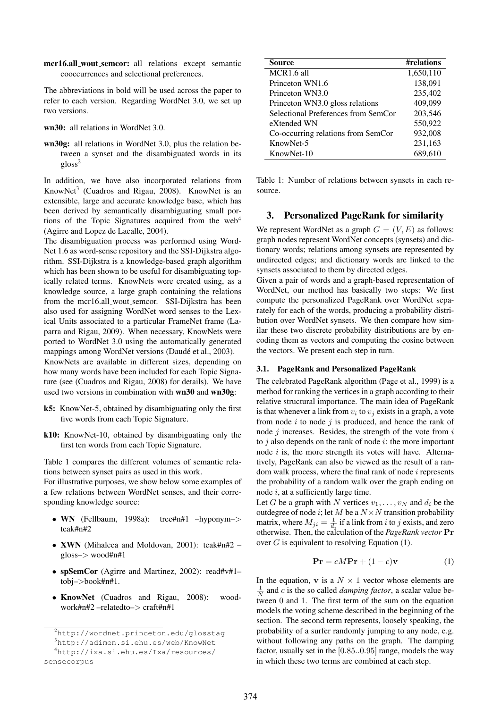mcr16.all wout semcor: all relations except semantic cooccurrences and selectional preferences.

The abbreviations in bold will be used across the paper to refer to each version. Regarding WordNet 3.0, we set up two versions.

- wn30: all relations in WordNet 3.0.
- wn30g: all relations in WordNet 3.0, plus the relation between a synset and the disambiguated words in its  $g$ loss<sup>2</sup>

In addition, we have also incorporated relations from KnowNet<sup>3</sup> (Cuadros and Rigau, 2008). KnowNet is an extensible, large and accurate knowledge base, which has been derived by semantically disambiguating small portions of the Topic Signatures acquired from the web<sup>4</sup> (Agirre and Lopez de Lacalle, 2004).

The disambiguation process was performed using Word-Net 1.6 as word-sense repository and the SSI-Dijkstra algorithm. SSI-Dijkstra is a knowledge-based graph algorithm which has been shown to be useful for disambiguating topically related terms. KnowNets were created using, as a knowledge source, a large graph containing the relations from the mcr16.all wout semcor. SSI-Dijkstra has been also used for assigning WordNet word senses to the Lexical Units associated to a particular FrameNet frame (Laparra and Rigau, 2009). When necessary, KnowNets were ported to WordNet 3.0 using the automatically generated mappings among WordNet versions (Daudé et al., 2003). KnowNets are available in different sizes, depending on how many words have been included for each Topic Signature (see (Cuadros and Rigau, 2008) for details). We have used two versions in combination with wn30 and wn30g:

- k5: KnowNet-5, obtained by disambiguating only the first five words from each Topic Signature.
- k10: KnowNet-10, obtained by disambiguating only the first ten words from each Topic Signature.

Table 1 compares the different volumes of semantic relations between synset pairs as used in this work.

For illustrative purposes, we show below some examples of a few relations between WordNet senses, and their corresponding knowledge source:

- WN (Fellbaum, 1998a): tree#n#1 –hyponym–> teak#n#2
- XWN (Mihalcea and Moldovan, 2001): teak#n#2 gloss–> wood#n#1
- spSemCor (Agirre and Martinez, 2002): read#v#1– tobj–>book#n#1.
- KnowNet (Cuadros and Rigau, 2008): woodwork#n#2 –relatedto–> craft#n#1

| Source                              | #relations |
|-------------------------------------|------------|
| MCR1.6 all                          | 1,650,110  |
| Princeton WN1.6                     | 138,091    |
| Princeton WN3.0                     | 235,402    |
| Princeton WN3.0 gloss relations     | 409,099    |
| Selectional Preferences from SemCor | 203,546    |
| eXtended WN                         | 550,922    |
| Co-occurring relations from SemCor  | 932,008    |
| KnowNet-5                           | 231,163    |
| KnowNet-10                          | 689.610    |

Table 1: Number of relations between synsets in each resource.

## 3. Personalized PageRank for similarity

We represent WordNet as a graph  $G = (V, E)$  as follows: graph nodes represent WordNet concepts (synsets) and dictionary words; relations among synsets are represented by undirected edges; and dictionary words are linked to the synsets associated to them by directed edges.

Given a pair of words and a graph-based representation of WordNet, our method has basically two steps: We first compute the personalized PageRank over WordNet separately for each of the words, producing a probability distribution over WordNet synsets. We then compare how similar these two discrete probability distributions are by encoding them as vectors and computing the cosine between the vectors. We present each step in turn.

#### 3.1. PageRank and Personalized PageRank

The celebrated PageRank algorithm (Page et al., 1999) is a method for ranking the vertices in a graph according to their relative structural importance. The main idea of PageRank is that whenever a link from  $v_i$  to  $v_j$  exists in a graph, a vote from node  $i$  to node  $j$  is produced, and hence the rank of node  $i$  increases. Besides, the strength of the vote from  $i$ to  $j$  also depends on the rank of node  $i$ : the more important node  $i$  is, the more strength its votes will have. Alternatively, PageRank can also be viewed as the result of a random walk process, where the final rank of node  $i$  represents the probability of a random walk over the graph ending on node i, at a sufficiently large time.

Let G be a graph with N vertices  $v_1, \ldots, v_N$  and  $d_i$  be the outdegree of node i; let M be a  $N \times N$  transition probability matrix, where  $M_{ji} = \frac{1}{d_i}$  if a link from i to j exists, and zero otherwise. Then, the calculation of the *PageRank vector* Pr over  $G$  is equivalent to resolving Equation (1).

$$
\mathbf{Pr} = cM\mathbf{Pr} + (1 - c)\mathbf{v} \tag{1}
$$

In the equation, v is a  $N \times 1$  vector whose elements are  $\frac{1}{N}$  and *c* is the so called *damping factor*, a scalar value between 0 and 1. The first term of the sum on the equation models the voting scheme described in the beginning of the section. The second term represents, loosely speaking, the probability of a surfer randomly jumping to any node, e.g. without following any paths on the graph. The damping factor, usually set in the [0.85..0.95] range, models the way in which these two terms are combined at each step.

<sup>2</sup>http://wordnet.princeton.edu/glosstag

<sup>3</sup>http://adimen.si.ehu.es/web/KnowNet

<sup>4</sup>http://ixa.si.ehu.es/Ixa/resources/ sensecorpus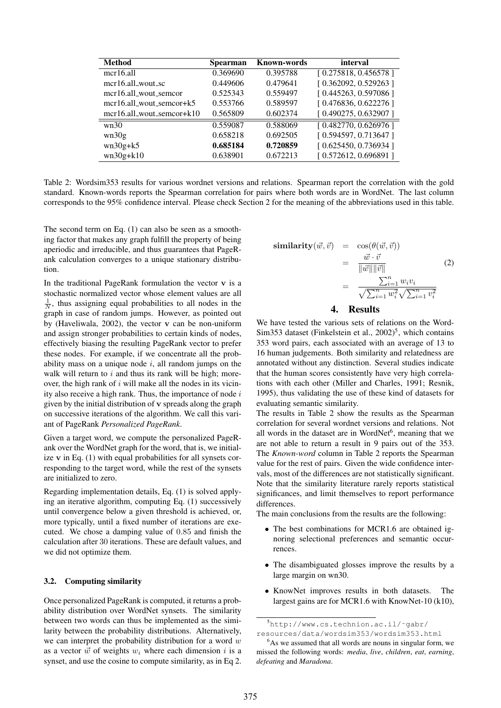| <b>Method</b>                   | Spearman | <b>Known-words</b> | interval             |
|---------------------------------|----------|--------------------|----------------------|
| $mer16.$ all                    | 0.369690 | 0.395788           | [0.275818, 0.456578] |
| $mer16.$ all_wout_sc            | 0.449606 | 0.479641           | [0.362092, 0.529263] |
| mcr16.all_wout_semcor           | 0.525343 | 0.559497           | [0.445263, 0.597086] |
| $mer16$ .all_wout_semcor+ $k5$  | 0.553766 | 0.589597           | [0.476836, 0.622276] |
| $mer16.$ all_wout_semcor+ $k10$ | 0.565809 | 0.602374           | [0.490275, 0.632907] |
| wn30                            | 0.559087 | 0.588069           | [0.482770, 0.626976] |
| wn30g                           | 0.658218 | 0.692505           | [0.594597, 0.713647] |
| $wn30g+k5$                      | 0.685184 | 0.720859           | [0.625450, 0.736934] |
| $wn30g+k10$                     | 0.638901 | 0.672213           | [0.572612, 0.696891] |

Table 2: Wordsim353 results for various wordnet versions and relations. Spearman report the correlation with the gold standard. Known-words reports the Spearman correlation for pairs where both words are in WordNet. The last column corresponds to the 95% confidence interval. Please check Section 2 for the meaning of the abbreviations used in this table.

The second term on Eq. (1) can also be seen as a smoothing factor that makes any graph fulfill the property of being aperiodic and irreducible, and thus guarantees that PageRank calculation converges to a unique stationary distribution.

In the traditional PageRank formulation the vector  $\bf{v}$  is a stochastic normalized vector whose element values are all  $\frac{1}{N}$ , thus assigning equal probabilities to all nodes in the graph in case of random jumps. However, as pointed out by (Haveliwala, 2002), the vector  $\bf{v}$  can be non-uniform and assign stronger probabilities to certain kinds of nodes, effectively biasing the resulting PageRank vector to prefer these nodes. For example, if we concentrate all the probability mass on a unique node  $i$ , all random jumps on the walk will return to  $i$  and thus its rank will be high; moreover, the high rank of  $i$  will make all the nodes in its vicinity also receive a high rank. Thus, the importance of node  $i$ given by the initial distribution of v spreads along the graph on successive iterations of the algorithm. We call this variant of PageRank *Personalized PageRank*.

Given a target word, we compute the personalized PageRank over the WordNet graph for the word, that is, we initialize v in Eq. (1) with equal probabilities for all synsets corresponding to the target word, while the rest of the synsets are initialized to zero.

Regarding implementation details, Eq. (1) is solved applying an iterative algorithm, computing Eq. (1) successively until convergence below a given threshold is achieved, or, more typically, until a fixed number of iterations are executed. We chose a damping value of 0.85 and finish the calculation after 30 iterations. These are default values, and we did not optimize them.

#### 3.2. Computing similarity

Once personalized PageRank is computed, it returns a probability distribution over WordNet synsets. The similarity between two words can thus be implemented as the similarity between the probability distributions. Alternatively, we can interpret the probability distribution for a word  $w$ as a vector  $\vec{w}$  of weights  $w_i$  where each dimension i is a synset, and use the cosine to compute similarity, as in Eq 2.

$$
\begin{array}{rcl}\n\textbf{similarity}(\vec{w}, \vec{v}) & = & \cos(\theta(\vec{w}, \vec{v})) \\
& = & \frac{\vec{w} \cdot \vec{v}}{\|\vec{w}\| \|\vec{v}\|} \\
& = & \frac{\sum_{i=1}^{n} w_i v_i}{\sqrt{\sum_{i=1}^{n} w_i^2} \sqrt{\sum_{i=1}^{n} v_i^2}}\n\end{array}\n\tag{2}
$$

# 4. Results

We have tested the various sets of relations on the Word-Sim353 dataset (Finkelstein et al.,  $2002)^5$ , which contains 353 word pairs, each associated with an average of 13 to 16 human judgements. Both similarity and relatedness are annotated without any distinction. Several studies indicate that the human scores consistently have very high correlations with each other (Miller and Charles, 1991; Resnik, 1995), thus validating the use of these kind of datasets for evaluating semantic similarity.

The results in Table 2 show the results as the Spearman correlation for several wordnet versions and relations. Not all words in the dataset are in WordNet<sup>6</sup>, meaning that we are not able to return a result in 9 pairs out of the 353. The *Known-word* column in Table 2 reports the Spearman value for the rest of pairs. Given the wide confidence intervals, most of the differences are not statistically significant. Note that the similarity literature rarely reports statistical significances, and limit themselves to report performance differences.

The main conclusions from the results are the following:

- The best combinations for MCR1.6 are obtained ignoring selectional preferences and semantic occurrences.
- The disambiguated glosses improve the results by a large margin on wn30.
- KnowNet improves results in both datasets. The largest gains are for MCR1.6 with KnowNet-10 (k10),

<sup>5</sup>http://www.cs.technion.ac.il/˜gabr/

resources/data/wordsim353/wordsim353.html <sup>6</sup>As we assumed that all words are nouns in singular form, we missed the following words: *media*, *live*, *children*, *eat*, *earning*, *defeating* and *Maradona*.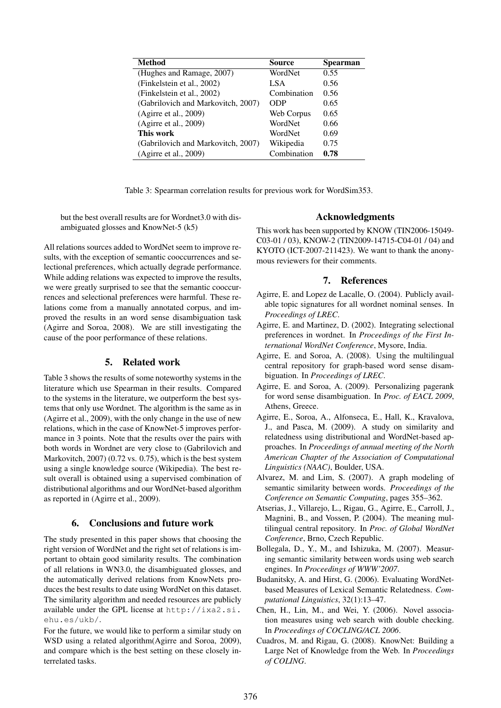| <b>Method</b>                      | Source      | Spearman |
|------------------------------------|-------------|----------|
| (Hughes and Ramage, 2007)          | WordNet     | 0.55     |
| (Finkelstein et al., 2002)         | LSA.        | 0.56     |
| (Finkelstein et al., 2002)         | Combination | 0.56     |
| (Gabrilovich and Markovitch, 2007) | ODP         | 0.65     |
| (Agire et al., 2009)               | Web Corpus  | 0.65     |
| (Agirre et al., 2009)              | WordNet     | 0.66     |
| This work                          | WordNet     | 0.69     |
| (Gabrilovich and Markovitch, 2007) | Wikipedia   | 0.75     |
| (Agirre et al., 2009)              | Combination | 0.78     |

Table 3: Spearman correlation results for previous work for WordSim353.

but the best overall results are for Wordnet3.0 with disambiguated glosses and KnowNet-5 (k5)

All relations sources added to WordNet seem to improve results, with the exception of semantic cooccurrences and selectional preferences, which actually degrade performance. While adding relations was expected to improve the results, we were greatly surprised to see that the semantic cooccurrences and selectional preferences were harmful. These relations come from a manually annotated corpus, and improved the results in an word sense disambiguation task (Agirre and Soroa, 2008). We are still investigating the cause of the poor performance of these relations.

## 5. Related work

Table 3 shows the results of some noteworthy systems in the literature which use Spearman in their results. Compared to the systems in the literature, we outperform the best systems that only use Wordnet. The algorithm is the same as in (Agirre et al., 2009), with the only change in the use of new relations, which in the case of KnowNet-5 improves performance in 3 points. Note that the results over the pairs with both words in Wordnet are very close to (Gabrilovich and Markovitch, 2007) (0.72 vs. 0.75), which is the best system using a single knowledge source (Wikipedia). The best result overall is obtained using a supervised combination of distributional algorithms and our WordNet-based algorithm as reported in (Agirre et al., 2009).

### 6. Conclusions and future work

The study presented in this paper shows that choosing the right version of WordNet and the right set of relations is important to obtain good similarity results. The combination of all relations in WN3.0, the disambiguated glosses, and the automatically derived relations from KnowNets produces the best results to date using WordNet on this dataset. The similarity algorithm and needed resources are publicly available under the GPL license at http://ixa2.si. ehu.es/ukb/.

For the future, we would like to perform a similar study on WSD using a related algorithm(Agirre and Soroa, 2009), and compare which is the best setting on these closely interrelated tasks.

#### Acknowledgments

This work has been supported by KNOW (TIN2006-15049- C03-01 / 03), KNOW-2 (TIN2009-14715-C04-01 / 04) and KYOTO (ICT-2007-211423). We want to thank the anonymous reviewers for their comments.

## 7. References

- Agirre, E. and Lopez de Lacalle, O. (2004). Publicly available topic signatures for all wordnet nominal senses. In *Proceedings of LREC*.
- Agirre, E. and Martinez, D. (2002). Integrating selectional preferences in wordnet. In *Proceedings of the First International WordNet Conference*, Mysore, India.
- Agirre, E. and Soroa, A. (2008). Using the multilingual central repository for graph-based word sense disambiguation. In *Proceedings of LREC*.
- Agirre, E. and Soroa, A. (2009). Personalizing pagerank for word sense disambiguation. In *Proc. of EACL 2009*, Athens, Greece.
- Agirre, E., Soroa, A., Alfonseca, E., Hall, K., Kravalova, J., and Pasca, M. (2009). A study on similarity and relatedness using distributional and WordNet-based approaches. In *Proceedings of annual meeting of the North American Chapter of the Association of Computational Linguistics (NAAC)*, Boulder, USA.
- Alvarez, M. and Lim, S. (2007). A graph modeling of semantic similarity between words. *Proceedings of the Conference on Semantic Computing*, pages 355–362.
- Atserias, J., Villarejo, L., Rigau, G., Agirre, E., Carroll, J., Magnini, B., and Vossen, P. (2004). The meaning multilingual central repository. In *Proc. of Global WordNet Conference*, Brno, Czech Republic.
- Bollegala, D., Y., M., and Ishizuka, M. (2007). Measuring semantic similarity between words using web search engines. In *Proceedings of WWW'2007*.
- Budanitsky, A. and Hirst, G. (2006). Evaluating WordNetbased Measures of Lexical Semantic Relatedness. *Computational Linguistics*, 32(1):13–47.
- Chen, H., Lin, M., and Wei, Y. (2006). Novel association measures using web search with double checking. In *Proceedings of COCLING/ACL 2006*.
- Cuadros, M. and Rigau, G. (2008). KnowNet: Building a Large Net of Knowledge from the Web. In *Proceedings of COLING*.